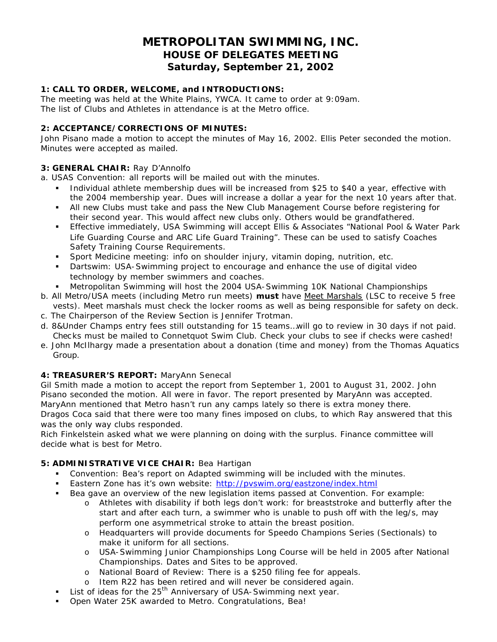# **METROPOLITAN SWIMMING, INC. HOUSE OF DELEGATES MEETING Saturday, September 21, 2002**

# **1: CALL TO ORDER, WELCOME, and INTRODUCTIONS:**

The meeting was held at the White Plains, YWCA. It came to order at 9:09am. The list of Clubs and Athletes in attendance is at the Metro office.

## **2: ACCEPTANCE/CORRECTIONS OF MINUTES:**

John Pisano made a motion to accept the minutes of May 16, 2002. Ellis Peter seconded the motion. Minutes were accepted as mailed.

#### **3: GENERAL CHAIR:** Ray D'Annolfo

a. USAS Convention: all reports will be mailed out with the minutes.

- ß Individual athlete membership dues will be increased from \$25 to \$40 a year, effective with the 2004 membership year. Dues will increase a dollar a year for the next 10 years after that.
- If All new Clubs must take and pass the New Club Management Course before registering for their second year. This would affect new clubs only. Others would be grandfathered.
- **Effective immediately, USA Swimming will accept Ellis & Associates "National Pool & Water Park** Life Guarding Course and ARC Life Guard Training". These can be used to satisfy Coaches Safety Training Course Requirements.
- ß Sport Medicine meeting: info on shoulder injury, vitamin doping, nutrition, etc.
- ß Dartswim: USA-Swimming project to encourage and enhance the use of digital video technology by member swimmers and coaches.
- ß Metropolitan Swimming will host the 2004 USA-Swimming 10K National Championships
- b. All Metro/USA meets (including Metro run meets) **must** have Meet Marshals (LSC to receive 5 free vests). Meet marshals must check the locker rooms as well as being responsible for safety on deck.
- c. The Chairperson of the Review Section is Jennifer Trotman.
- d. 8&Under Champs entry fees still outstanding for 15 teams…will go to review in 30 days if not paid. Checks must be mailed to Connetquot Swim Club. Check your clubs to see if checks were cashed!
- e. John McIlhargy made a presentation about a donation (time and money) from the Thomas Aquatics Group.

## **4: TREASURER'S REPORT:** MaryAnn Senecal

Gil Smith made a motion to accept the report from September 1, 2001 to August 31, 2002. John Pisano seconded the motion. All were in favor. The report presented by MaryAnn was accepted. MaryAnn mentioned that Metro hasn't run any camps lately so there is extra money there.

Dragos Coca said that there were too many fines imposed on clubs, to which Ray answered that this was the only way clubs responded.

Rich Finkelstein asked what we were planning on doing with the surplus. Finance committee will decide what is best for Metro.

# **5: ADMINISTRATIVE VICE CHAIR:** Bea Hartigan

- **•** Convention: Bea's report on Adapted swimming will be included with the minutes.
- ß Eastern Zone has it's own website: http://pvswim.org/eastzone/index.html
- **Bea gave an overview of the new legislation items passed at Convention. For example:** 
	- o Athletes with disability if both legs don't work: for breaststroke and butterfly after the start and after each turn, a swimmer who is unable to push off with the leg/s, may perform one asymmetrical stroke to attain the breast position.
	- o Headquarters will provide documents for Speedo Champions Series (Sectionals) to make it uniform for all sections.
	- o USA-Swimming Junior Championships Long Course will be held in 2005 after National Championships. Dates and Sites to be approved.
	- o National Board of Review: There is a \$250 filing fee for appeals.
	- o Item R22 has been retired and will never be considered again.
- List of ideas for the 25<sup>th</sup> Anniversary of USA-Swimming next year.
- ß Open Water 25K awarded to Metro. Congratulations, Bea!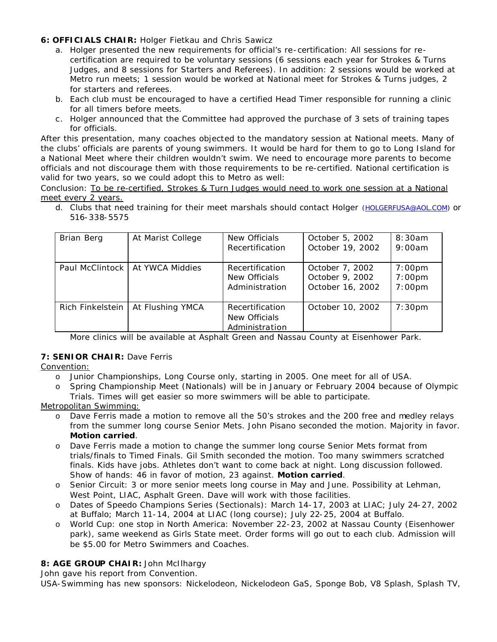# **6: OFFICIALS CHAIR:** Holger Fietkau and Chris Sawicz

- a. Holger presented the new requirements for official's re-certification: All sessions for recertification are required to be voluntary sessions (6 sessions each year for Strokes & Turns Judges, and 8 sessions for Starters and Referees). In addition: 2 sessions would be worked at Metro run meets; 1 session would be worked at National meet for Strokes & Turns judges, 2 for starters and referees.
- b. Each club must be encouraged to have a certified Head Timer responsible for running a clinic for all timers before meets.
- c . Holger announced that the Committee had approved the purchase of 3 sets of training tapes for officials.

After this presentation, many coaches objected to the mandatory session at National meets. Many of the clubs' officials are parents of young swimmers. It would be hard for them to go to Long Island for a National Meet where their children wouldn't swim. We need to encourage more parents to become officials and not discourage them with those requirements to be re-certified. National certification is valid for two years, so we could adopt this to Metro as well:

Conclusion: *To be re-certified, Strokes & Turn Judges would need to work one session at a National meet every 2 years.*

d. Clubs that need training for their meet marshals should contact Holger (HOLGERFUSA@AOL.COM) or 516-338-5575

| Brian Berg       | At Marist College                 | New Officials<br>Recertification                   | October 5, 2002<br>October 19, 2002                    | 8:30am<br>9:00am                    |
|------------------|-----------------------------------|----------------------------------------------------|--------------------------------------------------------|-------------------------------------|
|                  | Paul McClintock   At YWCA Middies | Recertification<br>New Officials<br>Administration | October 7, 2002<br>October 9, 2002<br>October 16, 2002 | $7:00$ pm<br>$7:00$ pm<br>$7:00$ pm |
| Rich Finkelstein | At Flushing YMCA                  | Recertification<br>New Officials<br>Administration | October 10, 2002                                       | 7:30 <sub>pm</sub>                  |

More clinics will be available at Asphalt Green and Nassau County at Eisenhower Park.

## **7: SENIOR CHAIR:** Dave Ferris

Convention:

- o Junior Championships, Long Course only, starting in 2005. One meet for all of USA.
- o Spring Championship Meet (Nationals) will be in January or February 2004 because of Olympic Trials. Times will get easier so more swimmers will be able to participate.

Metropolitan Swimming:

- o Dave Ferris made a motion to remove all the 50's strokes and the 200 free and medley relays from the summer long course Senior Mets. John Pisano seconded the motion. Majority in favor. **Motion carried**.
- o Dave Ferris made a motion to change the summer long course Senior Mets format from trials/finals to Timed Finals. Gil Smith seconded the motion. Too many swimmers scratched finals. Kids have jobs. Athletes don't want to come back at night. Long discussion followed. Show of hands: 46 in favor of motion, 23 against. **Motion carried**.
- o Senior Circuit: 3 or more senior meets long course in May and June. Possibility at Lehman, West Point, LIAC, Asphalt Green. Dave will work with those facilities.
- o Dates of Speedo Champions Series (Sectionals): March 14-17, 2003 at LIAC; July 24-27, 2002 at Buffalo; March 11-14, 2004 at LIAC (long course); July 22-25, 2004 at Buffalo.
- o World Cup: one stop in North America: November 22-23, 2002 at Nassau County (Eisenhower park), same weekend as Girls State meet. Order forms will go out to each club. Admission will be \$5.00 for Metro Swimmers and Coaches.

# **8: AGE GROUP CHAIR:** John McIlhargy

John gave his report from Convention.

USA-Swimming has new sponsors: Nickelodeon, Nickelodeon GaS, Sponge Bob, V8 Splash, Splash TV,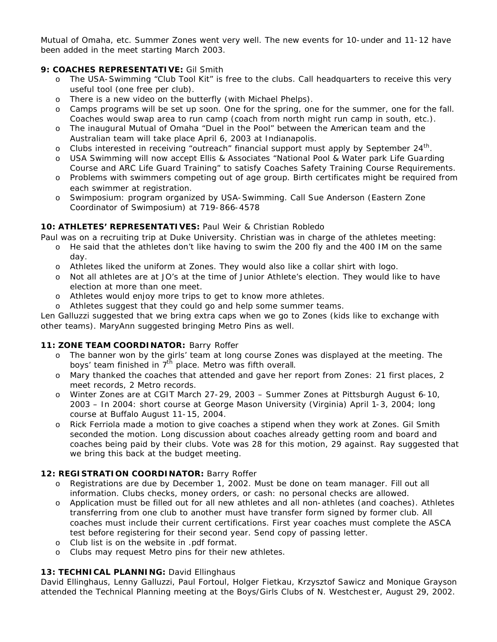Mutual of Omaha, etc. Summer Zones went very well. The new events for 10-under and 11-12 have been added in the meet starting March 2003.

# **9: COACHES REPRESENTATIVE:** Gil Smith

- o The USA-Swimming "Club Tool Kit" is free to the clubs. Call headquarters to receive this very useful tool (one free per club).
- o There is a new video on the butterfly (with Michael Phelps).
- o Camps programs will be set up soon. One for the spring, one for the summer, one for the fall. Coaches would swap area to run camp (coach from north might run camp in south, etc.).
- o The inaugural Mutual of Omaha "Duel in the Pool" between the American team and the Australian team will take place April 6, 2003 at Indianapolis.
- o Clubs interested in receiving "outreach" financial support must apply by September 24<sup>th</sup>.
- o USA Swimming will now accept Ellis & Associates "National Pool & Water park Life Guarding Course and ARC Life Guard Training" to satisfy Coaches Safety Training Course Requirements.
- o Problems with swimmers competing out of age group. Birth certificates might be required from each swimmer at registration.
- o Swimposium: program organized by USA-Swimming. Call Sue Anderson (Eastern Zone Coordinator of Swimposium) at 719-866-4578

## **10: ATHLETES' REPRESENTATIVES:** Paul Weir & Christian Robledo

- Paul was on a recruiting trip at Duke University. Christian was in charge of the athletes meeting:
	- o He said that the athletes don't like having to swim the 200 fly and the 400 IM on the same day.
	- o Athletes liked the uniform at Zones. They would also like a collar shirt with logo.
	- o Not all athletes are at JO's at the time of Junior Athlete's election. They would like to have election at more than one meet.
	- o Athletes would enjoy more trips to get to know more athletes.
	- o Athletes suggest that they could go and help some summer teams.

Len Galluzzi suggested that we bring extra caps when we go to Zones (kids like to exchange with other teams). MaryAnn suggested bringing Metro Pins as well.

## **11: ZONE TEAM COORDINATOR:** Barry Roffer

- o The banner won by the girls' team at long course Zones was displayed at the meeting. The boys' team finished in  $7<sup>th</sup>$  place. Metro was fifth overall.
- o Mary thanked the coaches that attended and gave her report from Zones: 21 first places, 2 meet records, 2 Metro records.
- o Winter Zones are at CGIT March 27-29, 2003 Summer Zones at Pittsburgh August 6-10, 2003 – In 2004: short course at George Mason University (Virginia) April 1-3, 2004; long course at Buffalo August 11-15, 2004.
- o Rick Ferriola made a motion to give coaches a stipend when they work at Zones. Gil Smith seconded the motion. Long discussion about coaches already getting room and board and coaches being paid by their clubs. Vote was 28 for this motion, 29 against. Ray suggested that we bring this back at the budget meeting.

## **12: REGISTRATION COORDINATOR:** Barry Roffer

- o Registrations are due by December 1, 2002. Must be done on team manager. Fill out all information. Clubs checks, money orders, or cash: no personal checks are allowed.
- o Application must be filled out for all new athletes and all non-athletes (and coaches). Athletes transferring from one club to another must have transfer form signed by former club. All coaches must include their current certifications. First year coaches must complete the ASCA test before registering for their second year. Send copy of passing letter.
- o Club list is on the website in .pdf format.
- o Clubs may request Metro pins for their new athletes.

## 13: TECHNICAL PLANNING: David Ellinghaus

David Ellinghaus, Lenny Galluzzi, Paul Fortoul, Holger Fietkau, Krzysztof Sawicz and Monique Grayson attended the Technical Planning meeting at the Boys/Girls Clubs of N. Westchest er, August 29, 2002.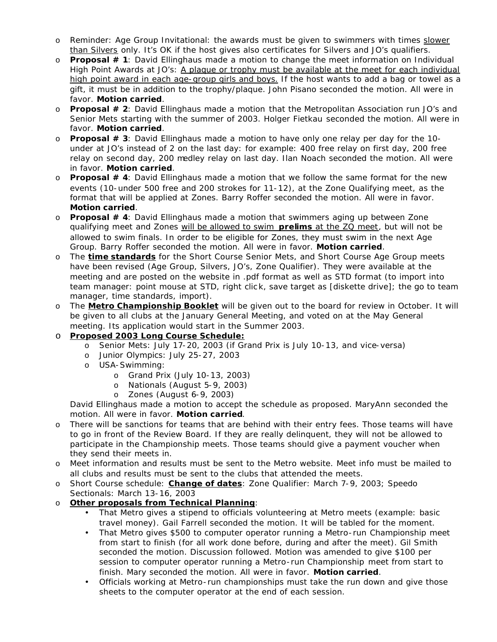- o Reminder: Age Group Invitational: the awards must be given to swimmers with times slower than Silvers only. It's OK if the host gives also certificates for Silvers and JO's qualifiers.
- o **Proposal # 1**: David Ellinghaus made a motion to change the meet information on Individual High Point Awards at JO's: A plaque or trophy must be available at the meet for each individual high point award in each age-group girls and boys. If the host wants to add a bag or towel as a gift, it must be in addition to the trophy/plaque. John Pisano seconded the motion. All were in favor. **Motion carried**.
- o **Proposal # 2**: David Ellinghaus made a motion that the Metropolitan Association run JO's and Senior Mets starting with the summer of 2003. Holger Fietkau seconded the motion. All were in favor. **Motion carried**.
- o **Proposal # 3**: David Ellinghaus made a motion to have only one relay per day for the 10 under at JO's instead of 2 on the last day: for example: 400 free relay on first day, 200 free relay on second day, 200 medley relay on last day. Ilan Noach seconded the motion. All were in favor. **Motion carried**.
- o **Proposal # 4**: David Ellinghaus made a motion that we follow the same format for the new events (10-under 500 free and 200 strokes for 11-12), at the Zone Qualifying meet, as the format that will be applied at Zones. Barry Roffer seconded the motion. All were in favor. **Motion carried**.
- o **Proposal # 4**: David Ellinghaus made a motion that swimmers aging up between Zone qualifying meet and Zones will be allowed to swim **prelims** at the ZQ meet, but will not be allowed to swim finals. In order to be eligible for Zones, they must swim in the next Age Group. Barry Roffer seconded the motion. All were in favor. **Motion carried**.
- o The **time standards** for the Short Course Senior Mets, and Short Course Age Group meets have been revised (Age Group, Silvers, JO's, Zone Qualifier). They were available at the meeting and are posted on the website in .pdf format as well as STD format (to import into team manager: point mouse at STD, right clic k, save target as [diskette drive]; the go to team manager, time standards, import).
- o The **Metro Championship Booklet** will be given out to the board for review in October. It will be given to all clubs at the January General Meeting, and voted on at the May General meeting. Its application would start in the Summer 2003.
- o **Proposed 2003 Long Course Schedule:** 
	- o Senior Mets: July 17-20, 2003 (if Grand Prix is July 10-13, and vice-versa)
	- o Junior Olympics: July 25-27, 2003
	- o USA-Swimming:
		- o Grand Prix (July 10-13, 2003)
		- o Nationals (August 5-9, 2003)
		- o Zones (August 6-9, 2003)

David Ellinghaus made a motion to accept the schedule as proposed. MaryAnn seconded the motion. All were in favor. **Motion carried**.

- o There will be sanctions for teams that are behind with their entry fees. Those teams will have to go in front of the Review Board. If they are really delinquent, they will not be allowed to participate in the Championship meets. Those teams should give a payment voucher when they send their meets in.
- Meet information and results must be sent to the Metro website. Meet info must be mailed to all clubs and results must be sent to the clubs that attended the meets.
- o Short Course schedule: **Change of dates**: Zone Qualifier: March 7-9, 2003; Speedo Sectionals: March 13-16, 2003
- o **Other proposals from Technical Planning**:
	- That Metro gives a stipend to officials volunteering at Metro meets (example: basic travel money). Gail Farrell seconded the motion. It will be tabled for the moment.
	- That Metro gives \$500 to computer operator running a Metro-run Championship meet from start to finish (for all work done before, during and after the meet). Gil Smith seconded the motion. Discussion followed. Motion was amended to give \$100 per session to computer operator running a Metro-run Championship meet from start to finish. Mary seconded the motion. All were in favor. **Motion carried**.
	- Officials working at Metro-run championships must take the run down and give those sheets to the computer operator at the end of each session.